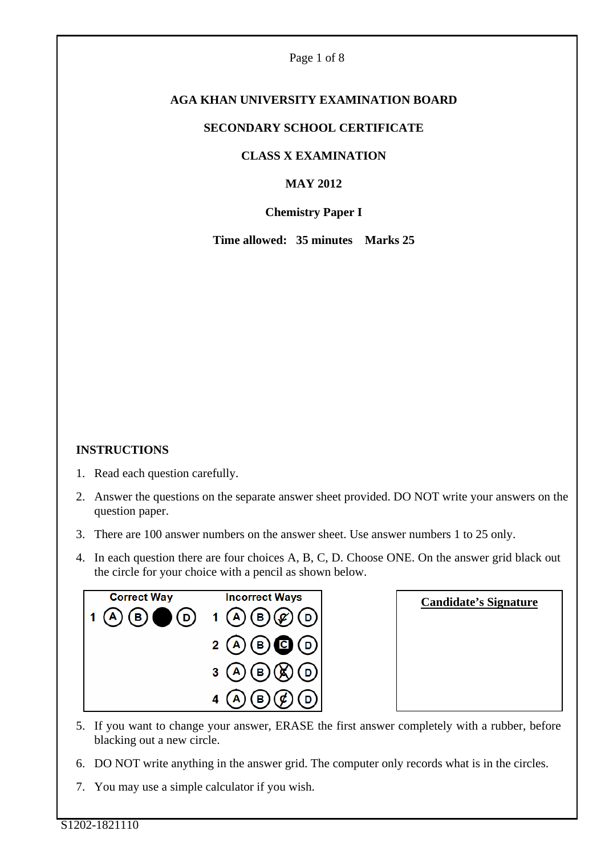#### Page 1 of 8

# **AGA KHAN UNIVERSITY EXAMINATION BOARD**

#### **SECONDARY SCHOOL CERTIFICATE**

## **CLASS X EXAMINATION**

## **MAY 2012**

## **Chemistry Paper I**

**Time allowed: 35 minutes Marks 25** 

# **INSTRUCTIONS**

- 1. Read each question carefully.
- 2. Answer the questions on the separate answer sheet provided. DO NOT write your answers on the question paper.
- 3. There are 100 answer numbers on the answer sheet. Use answer numbers 1 to 25 only.
- 4. In each question there are four choices A, B, C, D. Choose ONE. On the answer grid black out the circle for your choice with a pencil as shown below.



| <b>Candidate's Signature</b> |  |
|------------------------------|--|
|                              |  |
|                              |  |
|                              |  |
|                              |  |

- 5. If you want to change your answer, ERASE the first answer completely with a rubber, before blacking out a new circle.
- 6. DO NOT write anything in the answer grid. The computer only records what is in the circles.
- 7. You may use a simple calculator if you wish.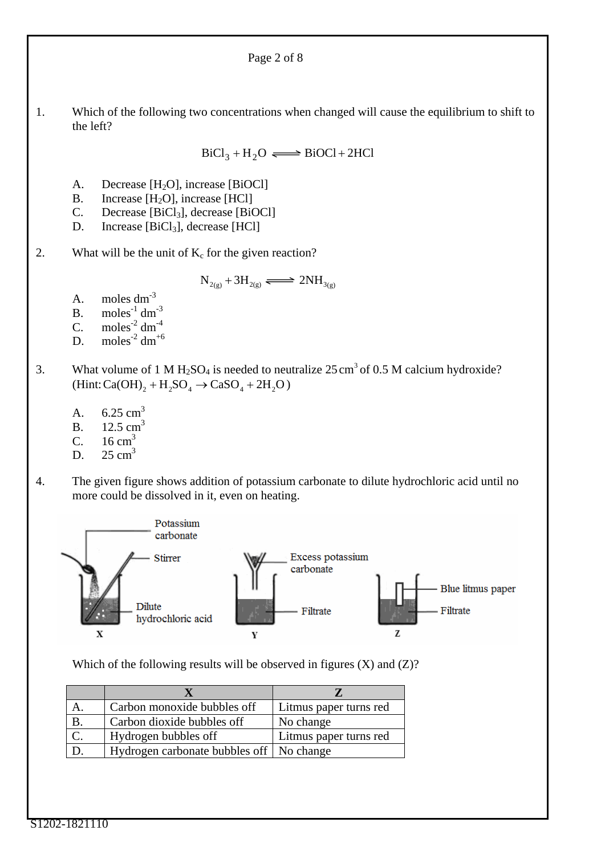1. Which of the following two concentrations when changed will cause the equilibrium to shift to the left?

Page 2 of 8

 $BiCl_3 + H_2O \Longleftrightarrow BiOCl + 2HCl$ 

- A. Decrease [H<sub>2</sub>O], increase [BiOCl]
- B. Increase  $[H_2O]$ , increase  $[HCl]$ <br>C. Decrease  $[BiCl_3]$ , decrease  $[BiCl]$
- Decrease [BiCl<sub>3</sub>], decrease [BiOCl]
- D. Increase  $[BiCl_3]$ , decrease  $[HCl]$
- 2. What will be the unit of  $K_c$  for the given reaction?

$$
N_{2(g)} + 3H_{2(g)} \xrightarrow{\longrightarrow} 2NH_{3(g)}
$$

- A. moles dm-3
- B. moles<sup>-1</sup> dm<sup>-3</sup>
- C. moles<sup>-2</sup> dm<sup>-4</sup>
- D. moles<sup>-2</sup> dm<sup>+6</sup>
- 3. What volume of 1 M H<sub>2</sub>SO<sub>4</sub> is needed to neutralize  $25 \text{ cm}^3$  of 0.5 M calcium hydroxide?  $(Hint:Ca(OH)<sub>2</sub> + H<sub>2</sub>SO<sub>4</sub> \rightarrow CaSO<sub>4</sub> + 2H<sub>2</sub>O)$ 
	- A.  $6.25 \text{ cm}^3$
	- B.  $12.5 \text{ cm}^3$
	- C.  $16 \text{ cm}^3$
	- D.  $25 \text{ cm}^3$
- 4. The given figure shows addition of potassium carbonate to dilute hydrochloric acid until no more could be dissolved in it, even on heating.



Which of the following results will be observed in figures  $(X)$  and  $(Z)$ ?

|    | Carbon monoxide bubbles off               | Litmus paper turns red |
|----|-------------------------------------------|------------------------|
| Β. | Carbon dioxide bubbles off                | No change              |
|    | Hydrogen bubbles off                      | Litmus paper turns red |
|    | Hydrogen carbonate bubbles of   No change |                        |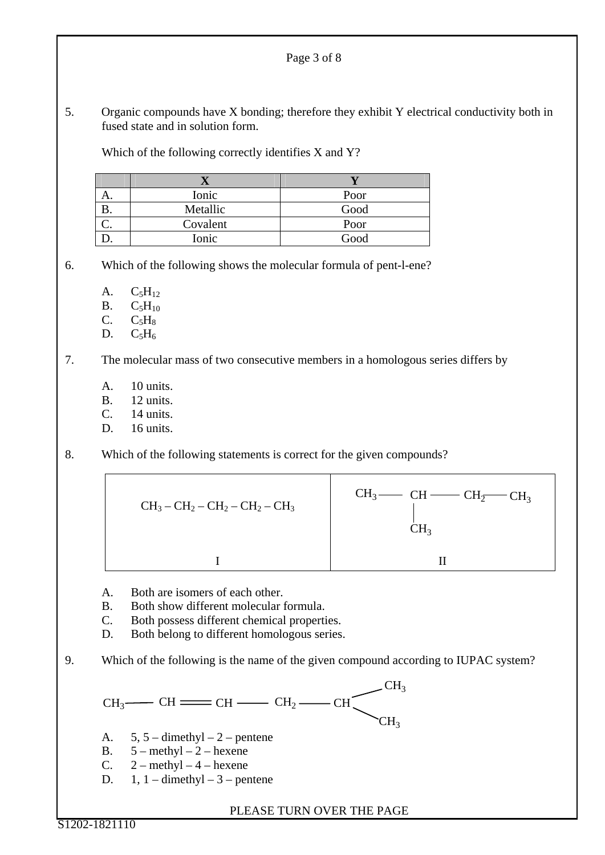5. Organic compounds have X bonding; therefore they exhibit Y electrical conductivity both in fused state and in solution form.

Page 3 of 8

Which of the following correctly identifies X and Y?

|    | Ionic    | Poor |
|----|----------|------|
|    | Metallic | Good |
| J. | Covalent | Poor |
|    | Ionic    | Good |

6. Which of the following shows the molecular formula of pent-l-ene?

- A.  $C_5H_{12}$
- $B. C_5H_{10}$
- $C. \qquad C_5H_8$
- D.  $C_5H_6$

7. The molecular mass of two consecutive members in a homologous series differs by

- A. 10 units.
- B. 12 units.
- $C = 14 \text{ units}$
- D. 16 units.
- 8. Which of the following statements is correct for the given compounds?



- A. Both are isomers of each other.
- B. Both show different molecular formula.
- C. Both possess different chemical properties.
- D. Both belong to different homologous series.

9. Which of the following is the name of the given compound according to IUPAC system?

 $CH_3$   $CH \longrightarrow CH \longrightarrow CH_2$   $CH_2$   $CH_3$  $CH<sub>2</sub>$  $CH<sub>3</sub>$ 

- A.  $5, 5$  dimethyl 2 pentene
- B.  $5 \text{methyl} 2 \text{hexene}$
- C.  $2 \text{methyl} 4 \text{hexene}$
- D.  $1, 1$  dimethyl 3 pentene

PLEASE TURN OVER THE PAGE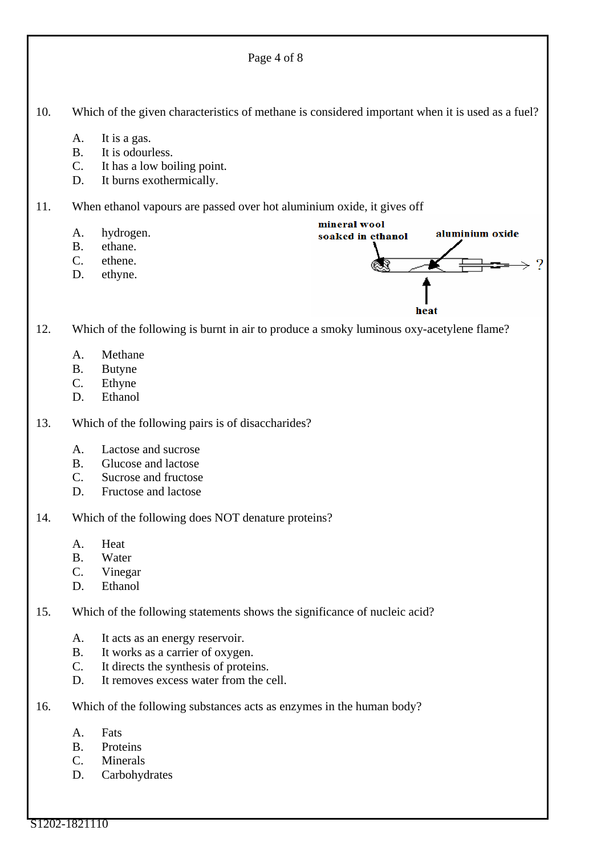Page 4 of 8 10. Which of the given characteristics of methane is considered important when it is used as a fuel? A. It is a gas. B. It is odourless. C. It has a low boiling point. D. It burns exothermically. 11. When ethanol vapours are passed over hot aluminium oxide, it gives off mineral wool A. hydrogen. aluminium oxide soaked in ethanol B. ethane. C. ethene.  $\mathcal{P}$ D. ethyne. heat 12. Which of the following is burnt in air to produce a smoky luminous oxy-acetylene flame? A. Methane B. Butyne C. Ethyne D. Ethanol 13. Which of the following pairs is of disaccharides? A. Lactose and sucrose B. Glucose and lactose C. Sucrose and fructose D. Fructose and lactose 14. Which of the following does NOT denature proteins? A. Heat B. Water C. Vinegar D. Ethanol 15. Which of the following statements shows the significance of nucleic acid? A. It acts as an energy reservoir. B. It works as a carrier of oxygen. C. It directs the synthesis of proteins. D. It removes excess water from the cell. 16. Which of the following substances acts as enzymes in the human body? A. Fats B. Proteins C. Minerals D. Carbohydrates

S1202-1821110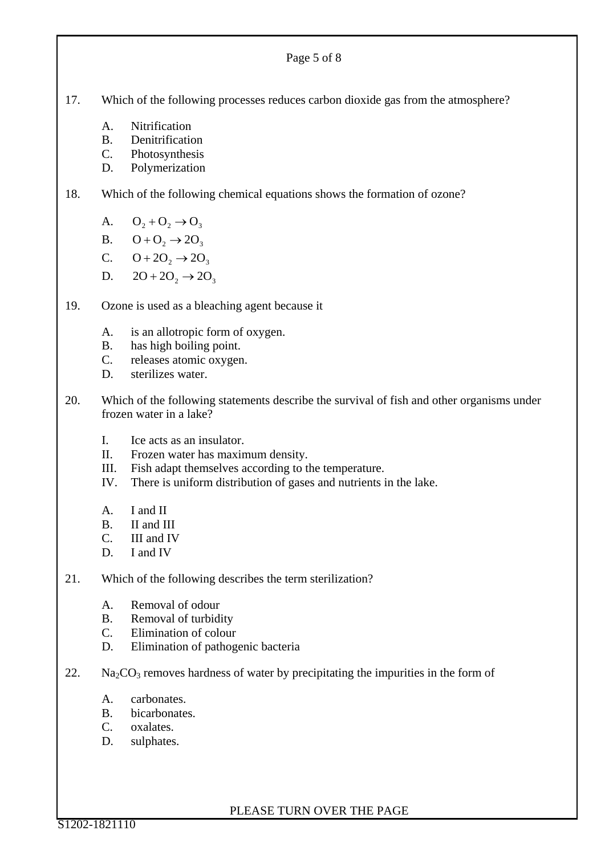|     |                                                                                                                      | Page 5 of 8                                                                                                                                                                                |
|-----|----------------------------------------------------------------------------------------------------------------------|--------------------------------------------------------------------------------------------------------------------------------------------------------------------------------------------|
| 17. |                                                                                                                      | Which of the following processes reduces carbon dioxide gas from the atmosphere?                                                                                                           |
|     | A.<br><b>B.</b><br>$C_{\cdot}$<br>D.                                                                                 | Nitrification<br>Denitrification<br>Photosynthesis<br>Polymerization                                                                                                                       |
| 18. | Which of the following chemical equations shows the formation of ozone?                                              |                                                                                                                                                                                            |
|     | A.<br>D.                                                                                                             | $O_2 + O_2 \rightarrow O_3$<br>B. $Q+Q_2 \rightarrow 2Q_3$<br>C. $Q + 2Q_2 \rightarrow 2Q_3$<br>$2O+2O_2 \rightarrow 2O_3$                                                                 |
| 19. | Ozone is used as a bleaching agent because it                                                                        |                                                                                                                                                                                            |
|     | А.<br><b>B.</b><br>$\mathbf{C}$ .<br>D.                                                                              | is an allotropic form of oxygen.<br>has high boiling point.<br>releases atomic oxygen.<br>sterilizes water.                                                                                |
| 20. | Which of the following statements describe the survival of fish and other organisms under<br>frozen water in a lake? |                                                                                                                                                                                            |
|     | I.<br>П.<br>III.<br>IV.                                                                                              | Ice acts as an insulator.<br>Frozen water has maximum density.<br>Fish adapt themselves according to the temperature.<br>There is uniform distribution of gases and nutrients in the lake. |

- A. I and II
- B. II and III
- C. III and IV
- D. I and IV
- 21. Which of the following describes the term sterilization?
	- A. Removal of odour
	- B. Removal of turbidity<br>C. Elimination of colour
	- Elimination of colour
	- D. Elimination of pathogenic bacteria
- 22. Na<sub>2</sub>CO<sub>3</sub> removes hardness of water by precipitating the impurities in the form of
	- A. carbonates.
	- B. bicarbonates.
	- C. oxalates.
	- D. sulphates.

PLEASE TURN OVER THE PAGE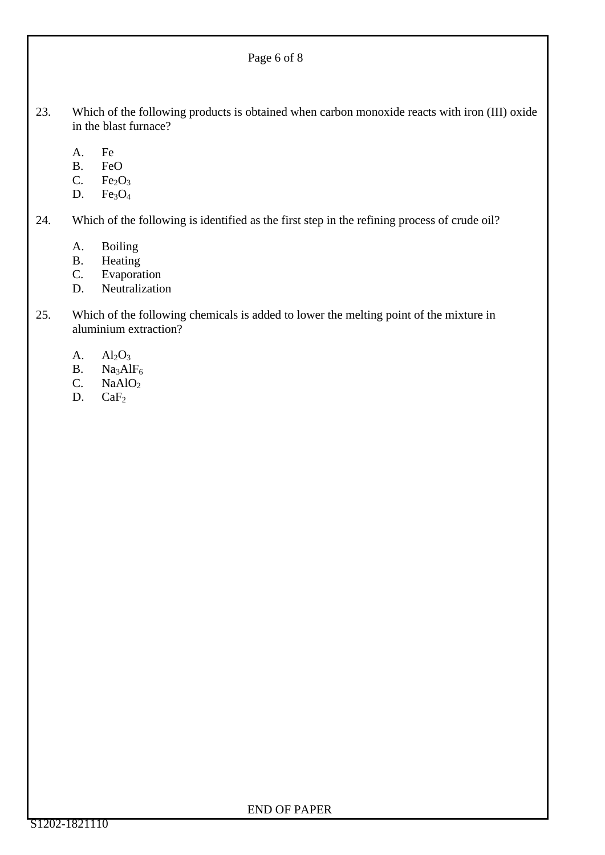23. Which of the following products is obtained when carbon monoxide reacts with iron (III) oxide in the blast furnace?

Page 6 of 8

- A. Fe
- B. FeO
- C. Fe<sub>2</sub>O<sub>3</sub><br>D. Fe<sub>3</sub>O<sub>4</sub>
- $Fe<sub>3</sub>O<sub>4</sub>$

24. Which of the following is identified as the first step in the refining process of crude oil?

- A. Boiling
- B. Heating
- C. Evaporation
- D. Neutralization
- 25. Which of the following chemicals is added to lower the melting point of the mixture in aluminium extraction?
	- A.  $Al_2O_3$
	- B.  $Na<sub>3</sub>AlF<sub>6</sub>$ <br>C.  $NaAlO<sub>2</sub>$
	- $NaAlO<sub>2</sub>$
	- D.  $CaF<sub>2</sub>$

#### END OF PAPER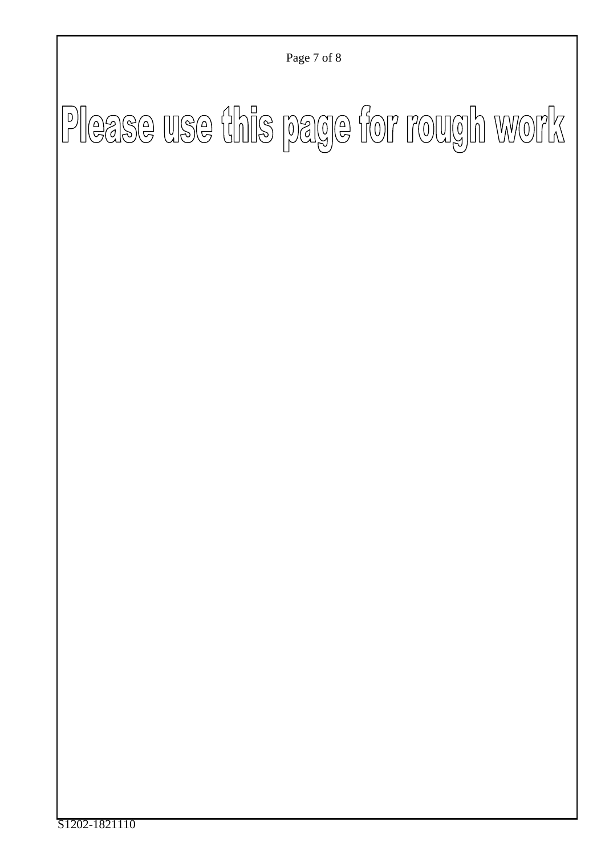